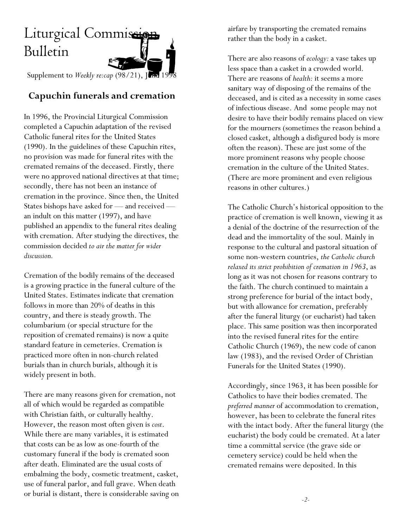## Liturgical Commission Bulletin

Supplement to *Weekly re:cap* (98/21), June 1998

## **Capuchin funerals and cremation**

In 1996, the Provincial Liturgical Commission completed a Capuchin adaptation of the revised Catholic funeral rites for the United States (1990). In the guidelines of these Capuchin rites, no provision was made for funeral rites with the cremated remains of the deceased. Firstly, there were no approved national directives at that time; secondly, there has not been an instance of cremation in the province. Since then, the United States bishops have asked for — and received an indult on this matter (1997), and have published an appendix to the funeral rites dealing with cremation. After studying the directives, the commission decided *to air the matter for wider discussion.*

Cremation of the bodily remains of the deceased is a growing practice in the funeral culture of the United States. Estimates indicate that cremation follows in more than 20% of deaths in this country, and there is steady growth. The columbarium (or special structure for the reposition of cremated remains) is now a quite standard feature in cemeteries. Cremation is practiced more often in non-church related burials than in church burials, although it is widely present in both.

There are many reasons given for cremation, not all of which would be regarded as compatible with Christian faith, or culturally healthy. However, the reason most often given is *cost*. While there are many variables, it is estimated that costs can be as low as one-fourth of the customary funeral if the body is cremated soon after death. Eliminated are the usual costs of embalming the body, cosmetic treatment, casket, use of funeral parlor, and full grave. When death or burial is distant, there is considerable saving on airfare by transporting the cremated remains rather than the body in a casket.

There are also reasons of *ecology:* a vase takes up less space than a casket in a crowded world. There are reasons of *health:* it seems a more sanitary way of disposing of the remains of the deceased, and is cited as a necessity in some cases of infectious disease. And some people may not desire to have their bodily remains placed on view for the mourners (sometimes the reason behind a closed casket, although a disfigured body is more often the reason). These are just some of the more prominent reasons why people choose cremation in the culture of the United States. (There are more prominent and even religious reasons in other cultures.)

The Catholic Church's historical opposition to the practice of cremation is well known, viewing it as a denial of the doctrine of the resurrection of the dead and the immortality of the soul. Mainly in response to the cultural and pastoral situation of some non-western countries, *the Catholic church relaxed its strict prohibition of cremation in 1963*, as long as it was not chosen for reasons contrary to the faith. The church continued to maintain a strong preference for burial of the intact body, but with allowance for cremation, preferably after the funeral liturgy (or eucharist) had taken place. This same position was then incorporated into the revised funeral rites for the entire Catholic Church (1969), the new code of canon law (1983), and the revised Order of Christian Funerals for the United States (1990).

Accordingly, since 1963, it has been possible for Catholics to have their bodies cremated. The *preferred manner* of accommodation to cremation, however, has been to celebrate the funeral rites with the intact body. After the funeral liturgy (the eucharist) the body could be cremated. At a later time a committal service (the grave side or cemetery service) could be held when the cremated remains were deposited. In this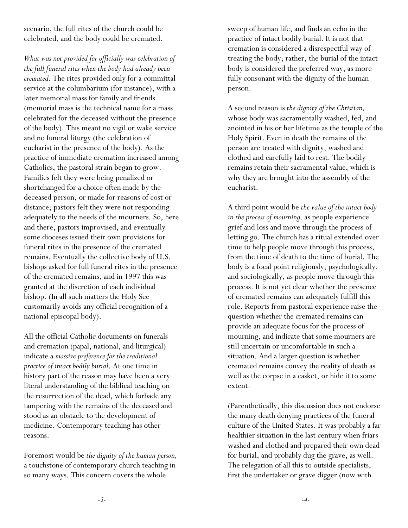scenario, the full rites of the church could be celebrated, and the body could be cremated.

*What was not provided for officially was celebration of the full funeral rites when the body had already been cremated.* The rites provided only for a committal service at the columbarium (for instance), with a later memorial mass for family and friends (memorial mass is the technical name for a mass celebrated for the deceased without the presence of the body). This meant no vigil or wake service and no funeral liturgy (the celebration of eucharist in the presence of the body). As the practice of immediate cremation increased among Catholics, the pastoral strain began to grow. Families felt they were being penalized or shortchanged for a choice often made by the deceased person, or made for reasons of cost or distance; pastors felt they were not responding adequately to the needs of the mourners. So, here and there, pastors improvised, and eventually some dioceses issued their own provisions for funeral rites in the presence of the cremated remains. Eventually the collective body of U.S. bishops asked for full funeral rites in the presence of the cremated remains, and in 1997 this was granted at the discretion of each individual bishop. (In all such matters the Holy See customarily avoids any official recognition of a national episcopal body).

All the official Catholic documents on funerals and cremation (papal, national, and liturgical) indicate a *massive preference for the traditional practice of intact bodily burial*. At one time in history part of the reason may have been a very literal understanding of the biblical teaching on the resurrection of the dead, which forbade any tampering with the remains of the deceased and stood as an obstacle to the development of medicine. Contemporary teaching has other reasons.

Foremost would be *the dignity of the human person,* a touchstone of contemporary church teaching in so many ways. This concern covers the whole

sweep of human life, and finds an echo in the practice of intact bodily burial. It is not that cremation is considered a disrespectful way of treating the body; rather, the burial of the intact body is considered the preferred way, as more fully consonant with the dignity of the human person.

A second reason is *the dignity of the Christian,* whose body was sacramentally washed, fed, and anointed in his or her lifetime as the temple of the Holy Spirit. Even in death the remains of the person are treated with dignity, washed and clothed and carefully laid to rest. The bodily remains retain their sacramental value, which is why they are brought into the assembly of the eucharist.

A third point would be *the value of the intact body in the process of mourning,* as people experience grief and loss and move through the process of letting go. The church has a ritual extended over time to help people move through this process, from the time of death to the time of burial. The body is a focal point religiously, psychologically, and sociologically, as people move through this process. It is not yet clear whether the presence of cremated remains can adequately fulfill this role. Reports from pastoral experience raise the question whether the cremated remains can provide an adequate focus for the process of mourning, and indicate that some mourners are still uncertain or uncomfortable in such a situation. And a larger question is whether cremated remains convey the reality of death as well as the corpse in a casket, or hide it to some extent.

(Parenthetically, this discussion does not endorse the many death denying practices of the funeral culture of the United States. It was probably a far healthier situation in the last century when friars washed and clothed and prepared their own dead for burial, and probably dug the grave, as well. The relegation of all this to outside specialists, first the undertaker or grave digger (now with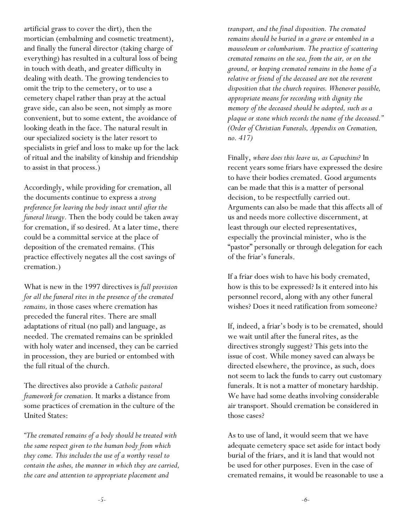artificial grass to cover the dirt), then the mortician (embalming and cosmetic treatment), and finally the funeral director (taking charge of everything) has resulted in a cultural loss of being in touch with death, and greater difficulty in dealing with death. The growing tendencies to omit the trip to the cemetery, or to use a cemetery chapel rather than pray at the actual grave side, can also be seen, not simply as more convenient, but to some extent, the avoidance of looking death in the face. The natural result in our specialized society is the later resort to specialists in grief and loss to make up for the lack of ritual and the inability of kinship and friendship to assist in that process.)

Accordingly, while providing for cremation, all the documents continue to express a *strong preference for leaving the body intact until after the funeral liturgy.* Then the body could be taken away for cremation, if so desired. At a later time, there could be a committal service at the place of deposition of the cremated remains. (This practice effectively negates all the cost savings of cremation.)

What is new in the 1997 directives is *full provision for all the funeral rites in the presence of the cremated remains,* in those cases where cremation has preceded the funeral rites. There are small adaptations of ritual (no pall) and language, as needed. The cremated remains can be sprinkled with holy water and incensed, they can be carried in procession, they are buried or entombed with the full ritual of the church.

The directives also provide a *Catholic pastoral framework for cremation.* It marks a distance from some practices of cremation in the culture of the United States:

*"The cremated remains of a body should be treated with the same respect given to the human body from which they come. This includes the use of a worthy vessel to contain the ashes, the manner in which they are carried, the care and attention to appropriate placement and*

*transport, and the final disposition. The cremated remains should be buried in a grave or entombed in a mausoleum or columbarium. The practice of scattering cremated remains on the sea, from the air, or on the ground, or keeping cremated remains in the home of a relative or friend of the deceased are not the reverent disposition that the church requires. Whenever possible, appropriate means for recording with dignity the memory of the deceased should be adopted, such as a plaque or stone which records the name of the deceased." (Order of Christian Funerals, Appendix on Cremation, no. 417)*

Finally, *where does this leave us, as Capuchins?* In recent years some friars have expressed the desire to have their bodies cremated. Good arguments can be made that this is a matter of personal decision, to be respectfully carried out. Arguments can also be made that this affects all of us and needs more collective discernment, at least through our elected representatives, especially the provincial minister, who is the "pastor" personally or through delegation for each of the friar's funerals.

If a friar does wish to have his body cremated, how is this to be expressed? Is it entered into his personnel record, along with any other funeral wishes? Does it need ratification from someone?

If, indeed, a friar's body is to be cremated, should we wait until after the funeral rites, as the directives strongly suggest? This gets into the issue of cost. While money saved can always be directed elsewhere, the province, as such, does not seem to lack the funds to carry out customary funerals. It is not a matter of monetary hardship. We have had some deaths involving considerable air transport. Should cremation be considered in those cases?

As to use of land, it would seem that we have adequate cemetery space set aside for intact body burial of the friars, and it is land that would not be used for other purposes. Even in the case of cremated remains, it would be reasonable to use a